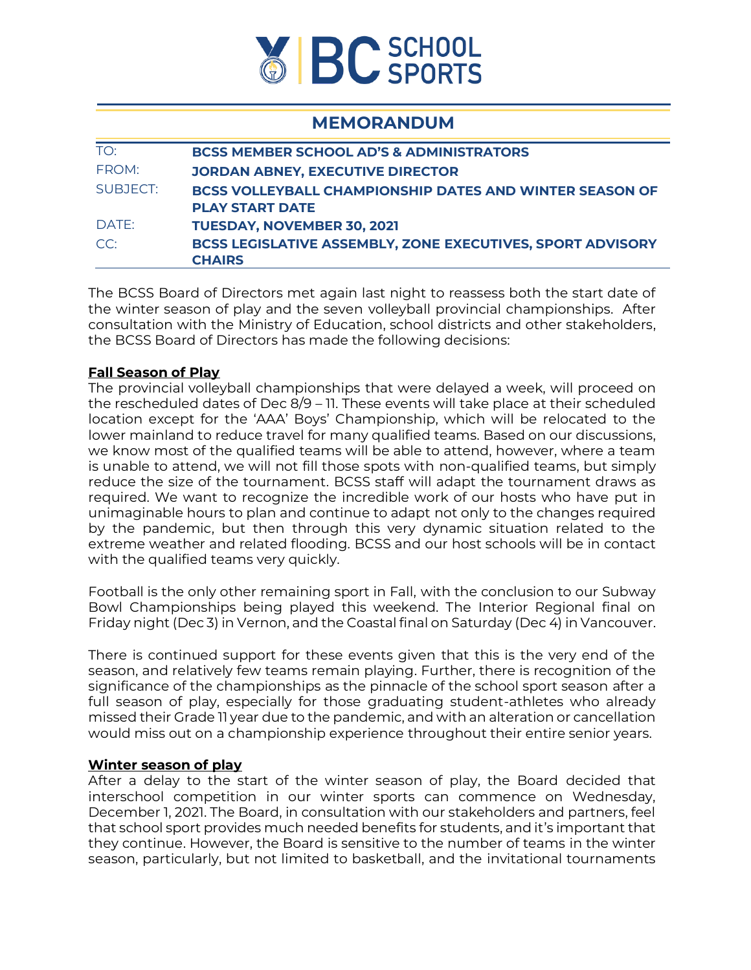

## **MEMORANDUM**

| TO:      | <b>BCSS MEMBER SCHOOL AD'S &amp; ADMINISTRATORS</b>               |
|----------|-------------------------------------------------------------------|
| FROM:    | <b>JORDAN ABNEY, EXECUTIVE DIRECTOR</b>                           |
| SUBJECT: | <b>BCSS VOLLEYBALL CHAMPIONSHIP DATES AND WINTER SEASON OF</b>    |
|          | <b>PLAY START DATE</b>                                            |
| DATE:    | <b>TUESDAY, NOVEMBER 30, 2021</b>                                 |
| CC:      | <b>BCSS LEGISLATIVE ASSEMBLY, ZONE EXECUTIVES, SPORT ADVISORY</b> |
|          | <b>CHAIRS</b>                                                     |

The BCSS Board of Directors met again last night to reassess both the start date of the winter season of play and the seven volleyball provincial championships. After consultation with the Ministry of Education, school districts and other stakeholders, the BCSS Board of Directors has made the following decisions:

## **Fall Season of Play**

The provincial volleyball championships that were delayed a week, will proceed on the rescheduled dates of Dec 8/9 – 11. These events will take place at their scheduled location except for the 'AAA' Boys' Championship, which will be relocated to the lower mainland to reduce travel for many qualified teams. Based on our discussions, we know most of the qualified teams will be able to attend, however, where a team is unable to attend, we will not fill those spots with non-qualified teams, but simply reduce the size of the tournament. BCSS staff will adapt the tournament draws as required. We want to recognize the incredible work of our hosts who have put in unimaginable hours to plan and continue to adapt not only to the changes required by the pandemic, but then through this very dynamic situation related to the extreme weather and related flooding. BCSS and our host schools will be in contact with the qualified teams very quickly.

Football is the only other remaining sport in Fall, with the conclusion to our Subway Bowl Championships being played this weekend. The Interior Regional final on Friday night (Dec 3) in Vernon, and the Coastal final on Saturday (Dec 4) in Vancouver.

There is continued support for these events given that this is the very end of the season, and relatively few teams remain playing. Further, there is recognition of the significance of the championships as the pinnacle of the school sport season after a full season of play, especially for those graduating student-athletes who already missed their Grade 11 year due to the pandemic, and with an alteration or cancellation would miss out on a championship experience throughout their entire senior years.

## **Winter season of play**

After a delay to the start of the winter season of play, the Board decided that interschool competition in our winter sports can commence on Wednesday, December 1, 2021. The Board, in consultation with our stakeholders and partners, feel that school sport provides much needed benefits for students, and it's important that they continue. However, the Board is sensitive to the number of teams in the winter season, particularly, but not limited to basketball, and the invitational tournaments